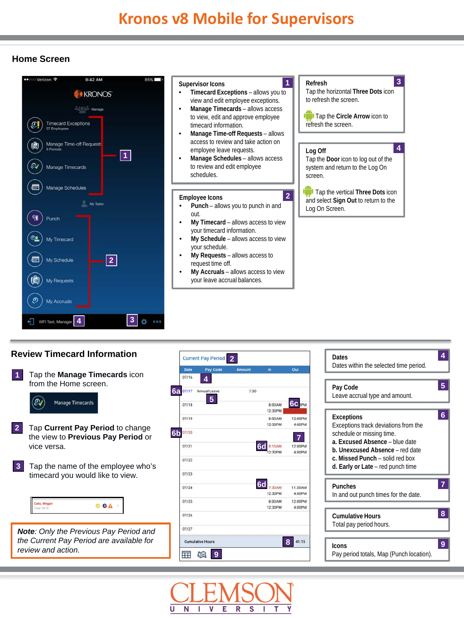## **Home Screen**



## **<sup>2</sup> Review Timecard Information**



**Dates**

**4**

![](_page_0_Picture_5.jpeg)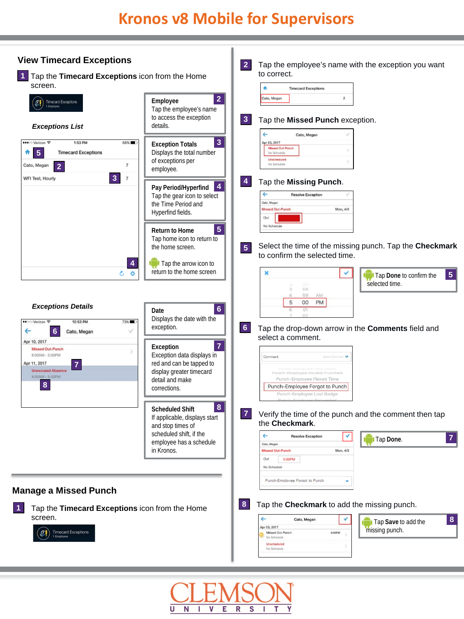![](_page_1_Picture_1.jpeg)

![](_page_1_Picture_2.jpeg)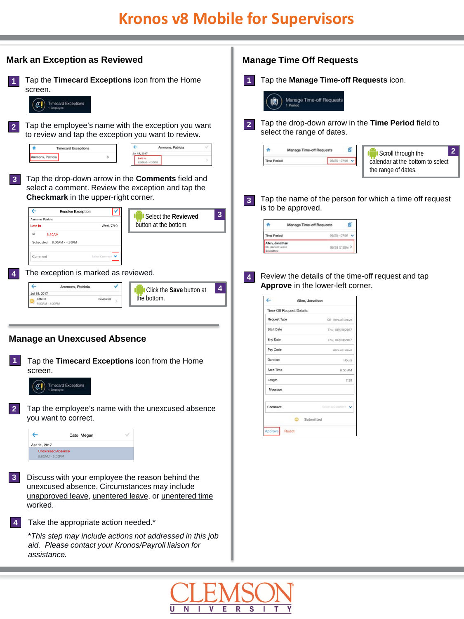## **Kronos v8 Mobile for Supervisors**

![](_page_2_Figure_1.jpeg)